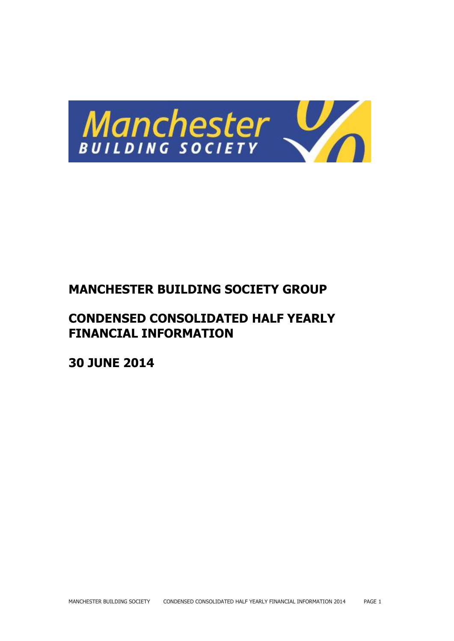

# **MANCHESTER BUILDING SOCIETY GROUP**

# **CONDENSED CONSOLIDATED HALF YEARLY FINANCIAL INFORMATION**

**30 JUNE 2014**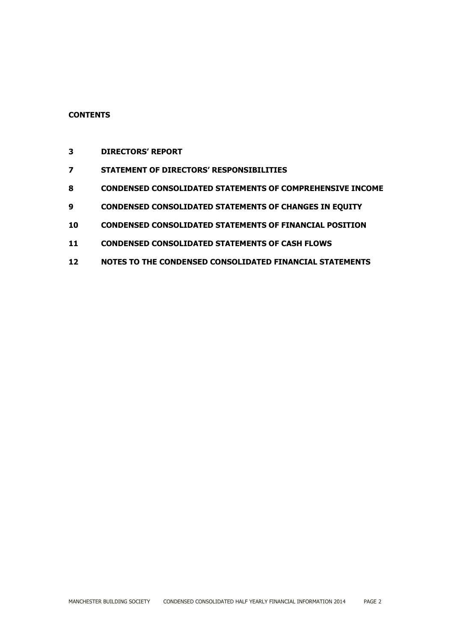# **CONTENTS**

- **DIRECTORS' REPORT**
- **STATEMENT OF DIRECTORS' RESPONSIBILITIES**
- **CONDENSED CONSOLIDATED STATEMENTS OF COMPREHENSIVE INCOME**
- **CONDENSED CONSOLIDATED STATEMENTS OF CHANGES IN EQUITY**
- **CONDENSED CONSOLIDATED STATEMENTS OF FINANCIAL POSITION**
- **CONDENSED CONSOLIDATED STATEMENTS OF CASH FLOWS**
- **NOTES TO THE CONDENSED CONSOLIDATED FINANCIAL STATEMENTS**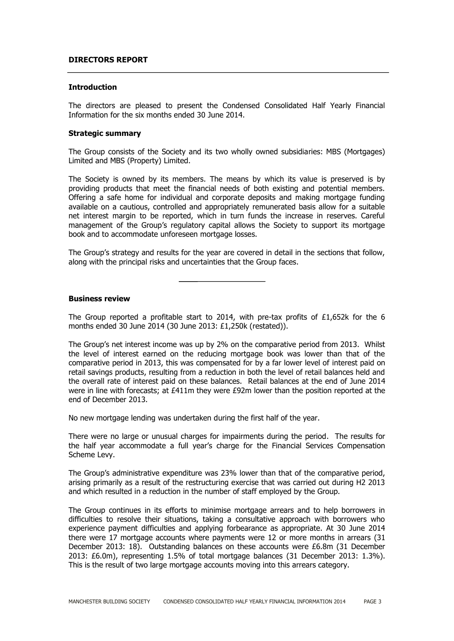#### **DIRECTORS REPORT**

#### **Introduction**

The directors are pleased to present the Condensed Consolidated Half Yearly Financial Information for the six months ended 30 June 2014.

#### **Strategic summary**

The Group consists of the Society and its two wholly owned subsidiaries: MBS (Mortgages) Limited and MBS (Property) Limited.

The Society is owned by its members. The means by which its value is preserved is by providing products that meet the financial needs of both existing and potential members. Offering a safe home for individual and corporate deposits and making mortgage funding available on a cautious, controlled and appropriately remunerated basis allow for a suitable net interest margin to be reported, which in turn funds the increase in reserves. Careful management of the Group's regulatory capital allows the Society to support its mortgage book and to accommodate unforeseen mortgage losses.

The Group's strategy and results for the year are covered in detail in the sections that follow, along with the principal risks and uncertainties that the Group faces.

#### **Business review**

The Group reported a profitable start to 2014, with pre-tax profits of £1,652k for the 6 months ended 30 June 2014 (30 June 2013: £1,250k (restated)).

The Group's net interest income was up by 2% on the comparative period from 2013. Whilst the level of interest earned on the reducing mortgage book was lower than that of the comparative period in 2013, this was compensated for by a far lower level of interest paid on retail savings products, resulting from a reduction in both the level of retail balances held and the overall rate of interest paid on these balances. Retail balances at the end of June 2014 were in line with forecasts; at £411m they were £92m lower than the position reported at the end of December 2013.

No new mortgage lending was undertaken during the first half of the year.

There were no large or unusual charges for impairments during the period. The results for the half year accommodate a full year's charge for the Financial Services Compensation Scheme Levy.

The Group's administrative expenditure was 23% lower than that of the comparative period, arising primarily as a result of the restructuring exercise that was carried out during H2 2013 and which resulted in a reduction in the number of staff employed by the Group.

The Group continues in its efforts to minimise mortgage arrears and to help borrowers in difficulties to resolve their situations, taking a consultative approach with borrowers who experience payment difficulties and applying forbearance as appropriate. At 30 June 2014 there were 17 mortgage accounts where payments were 12 or more months in arrears (31 December 2013: 18). Outstanding balances on these accounts were £6.8m (31 December 2013: £6.0m), representing 1.5% of total mortgage balances (31 December 2013: 1.3%). This is the result of two large mortgage accounts moving into this arrears category.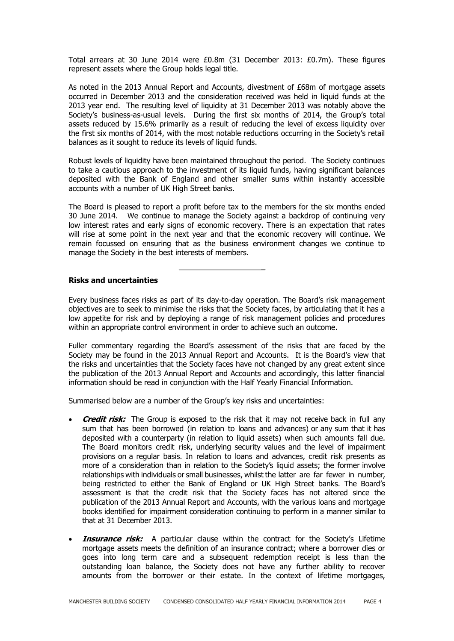Total arrears at 30 June 2014 were £0.8m (31 December 2013: £0.7m). These figures represent assets where the Group holds legal title.

As noted in the 2013 Annual Report and Accounts, divestment of £68m of mortgage assets occurred in December 2013 and the consideration received was held in liquid funds at the 2013 year end. The resulting level of liquidity at 31 December 2013 was notably above the Society's business-as-usual levels. During the first six months of 2014, the Group's total assets reduced by 15.6% primarily as a result of reducing the level of excess liquidity over the first six months of 2014, with the most notable reductions occurring in the Society's retail balances as it sought to reduce its levels of liquid funds.

Robust levels of liquidity have been maintained throughout the period. The Society continues to take a cautious approach to the investment of its liquid funds, having significant balances deposited with the Bank of England and other smaller sums within instantly accessible accounts with a number of UK High Street banks.

The Board is pleased to report a profit before tax to the members for the six months ended 30 June 2014. We continue to manage the Society against a backdrop of continuing very low interest rates and early signs of economic recovery. There is an expectation that rates will rise at some point in the next year and that the economic recovery will continue. We remain focussed on ensuring that as the business environment changes we continue to manage the Society in the best interests of members.

#### **Risks and uncertainties**

Every business faces risks as part of its day-to-day operation. The Board's risk management objectives are to seek to minimise the risks that the Society faces, by articulating that it has a low appetite for risk and by deploying a range of risk management policies and procedures within an appropriate control environment in order to achieve such an outcome.

Fuller commentary regarding the Board's assessment of the risks that are faced by the Society may be found in the 2013 Annual Report and Accounts. It is the Board's view that the risks and uncertainties that the Society faces have not changed by any great extent since the publication of the 2013 Annual Report and Accounts and accordingly, this latter financial information should be read in conjunction with the Half Yearly Financial Information.

Summarised below are a number of the Group's key risks and uncertainties:

- **Credit risk:** The Group is exposed to the risk that it may not receive back in full any sum that has been borrowed (in relation to loans and advances) or any sum that it has deposited with a counterparty (in relation to liquid assets) when such amounts fall due. The Board monitors credit risk, underlying security values and the level of impairment provisions on a regular basis. In relation to loans and advances, credit risk presents as more of a consideration than in relation to the Society's liquid assets; the former involve relationships with individuals or small businesses, whilst the latter are far fewer in number, being restricted to either the Bank of England or UK High Street banks. The Board's assessment is that the credit risk that the Society faces has not altered since the publication of the 2013 Annual Report and Accounts, with the various loans and mortgage books identified for impairment consideration continuing to perform in a manner similar to that at 31 December 2013.
- **Insurance risk:** A particular clause within the contract for the Society's Lifetime mortgage assets meets the definition of an insurance contract; where a borrower dies or goes into long term care and a subsequent redemption receipt is less than the outstanding loan balance, the Society does not have any further ability to recover amounts from the borrower or their estate. In the context of lifetime mortgages,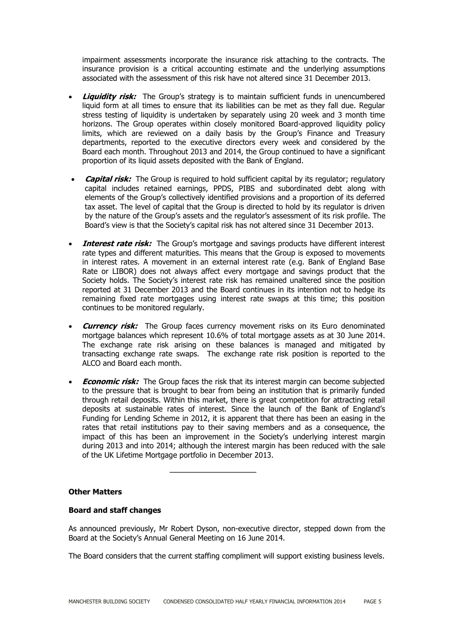impairment assessments incorporate the insurance risk attaching to the contracts. The insurance provision is a critical accounting estimate and the underlying assumptions associated with the assessment of this risk have not altered since 31 December 2013.

- **Liquidity risk:** The Group's strategy is to maintain sufficient funds in unencumbered liquid form at all times to ensure that its liabilities can be met as they fall due. Regular stress testing of liquidity is undertaken by separately using 20 week and 3 month time horizons. The Group operates within closely monitored Board-approved liquidity policy limits, which are reviewed on a daily basis by the Group's Finance and Treasury departments, reported to the executive directors every week and considered by the Board each month. Throughout 2013 and 2014, the Group continued to have a significant proportion of its liquid assets deposited with the Bank of England.
- **Capital risk:** The Group is required to hold sufficient capital by its regulator; regulatory capital includes retained earnings, PPDS, PIBS and subordinated debt along with elements of the Group's collectively identified provisions and a proportion of its deferred tax asset. The level of capital that the Group is directed to hold by its regulator is driven by the nature of the Group's assets and the regulator's assessment of its risk profile. The Board's view is that the Society's capital risk has not altered since 31 December 2013.
- **Interest rate risk:** The Group's mortgage and savings products have different interest rate types and different maturities. This means that the Group is exposed to movements in interest rates. A movement in an external interest rate (e.g. Bank of England Base Rate or LIBOR) does not always affect every mortgage and savings product that the Society holds. The Society's interest rate risk has remained unaltered since the position reported at 31 December 2013 and the Board continues in its intention not to hedge its remaining fixed rate mortgages using interest rate swaps at this time; this position continues to be monitored regularly.
- **Currency risk:** The Group faces currency movement risks on its Euro denominated mortgage balances which represent 10.6% of total mortgage assets as at 30 June 2014. The exchange rate risk arising on these balances is managed and mitigated by transacting exchange rate swaps. The exchange rate risk position is reported to the ALCO and Board each month.
- **Economic risk:** The Group faces the risk that its interest margin can become subjected to the pressure that is brought to bear from being an institution that is primarily funded through retail deposits. Within this market, there is great competition for attracting retail deposits at sustainable rates of interest. Since the launch of the Bank of England's Funding for Lending Scheme in 2012, it is apparent that there has been an easing in the rates that retail institutions pay to their saving members and as a consequence, the impact of this has been an improvement in the Society's underlying interest margin during 2013 and into 2014; although the interest margin has been reduced with the sale of the UK Lifetime Mortgage portfolio in December 2013.

#### **Other Matters**

#### **Board and staff changes**

As announced previously, Mr Robert Dyson, non-executive director, stepped down from the Board at the Society's Annual General Meeting on 16 June 2014.

The Board considers that the current staffing compliment will support existing business levels.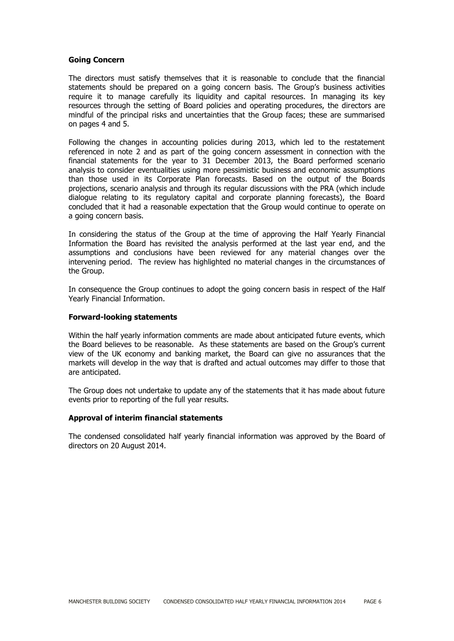#### **Going Concern**

The directors must satisfy themselves that it is reasonable to conclude that the financial statements should be prepared on a going concern basis. The Group's business activities require it to manage carefully its liquidity and capital resources. In managing its key resources through the setting of Board policies and operating procedures, the directors are mindful of the principal risks and uncertainties that the Group faces; these are summarised on pages 4 and 5.

Following the changes in accounting policies during 2013, which led to the restatement referenced in note 2 and as part of the going concern assessment in connection with the financial statements for the year to 31 December 2013, the Board performed scenario analysis to consider eventualities using more pessimistic business and economic assumptions than those used in its Corporate Plan forecasts. Based on the output of the Boards projections, scenario analysis and through its regular discussions with the PRA (which include dialogue relating to its regulatory capital and corporate planning forecasts), the Board concluded that it had a reasonable expectation that the Group would continue to operate on a going concern basis.

In considering the status of the Group at the time of approving the Half Yearly Financial Information the Board has revisited the analysis performed at the last year end, and the assumptions and conclusions have been reviewed for any material changes over the intervening period. The review has highlighted no material changes in the circumstances of the Group.

In consequence the Group continues to adopt the going concern basis in respect of the Half Yearly Financial Information.

#### **Forward-looking statements**

Within the half yearly information comments are made about anticipated future events, which the Board believes to be reasonable. As these statements are based on the Group's current view of the UK economy and banking market, the Board can give no assurances that the markets will develop in the way that is drafted and actual outcomes may differ to those that are anticipated.

The Group does not undertake to update any of the statements that it has made about future events prior to reporting of the full year results.

#### **Approval of interim financial statements**

The condensed consolidated half yearly financial information was approved by the Board of directors on 20 August 2014.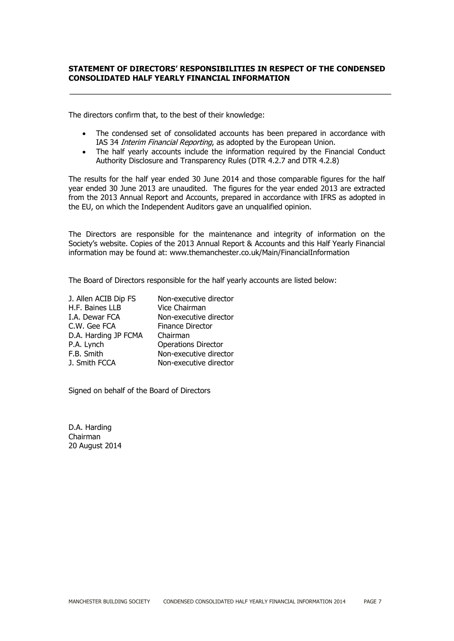#### **STATEMENT OF DIRECTORS' RESPONSIBILITIES IN RESPECT OF THE CONDENSED CONSOLIDATED HALF YEARLY FINANCIAL INFORMATION**

The directors confirm that, to the best of their knowledge:

- The condensed set of consolidated accounts has been prepared in accordance with IAS 34 *Interim Financial Reporting*, as adopted by the European Union.
- The half yearly accounts include the information required by the Financial Conduct Authority Disclosure and Transparency Rules (DTR 4.2.7 and DTR 4.2.8)

The results for the half year ended 30 June 2014 and those comparable figures for the half year ended 30 June 2013 are unaudited. The figures for the year ended 2013 are extracted from the 2013 Annual Report and Accounts, prepared in accordance with IFRS as adopted in the EU, on which the Independent Auditors gave an unqualified opinion.

The Directors are responsible for the maintenance and integrity of information on the Society's website. Copies of the 2013 Annual Report & Accounts and this Half Yearly Financial information may be found at: www.themanchester.co.uk/Main/FinancialInformation

The Board of Directors responsible for the half yearly accounts are listed below:

| J. Allen ACIB Dip FS | Non-executive director     |
|----------------------|----------------------------|
| H.F. Baines LLB      | Vice Chairman              |
| I.A. Dewar FCA       | Non-executive director     |
| C.W. Gee FCA         | Finance Director           |
| D.A. Harding JP FCMA | Chairman                   |
| P.A. Lynch           | <b>Operations Director</b> |
| F.B. Smith           | Non-executive director     |
| J. Smith FCCA        | Non-executive director     |

Signed on behalf of the Board of Directors

D.A. Harding Chairman 20 August 2014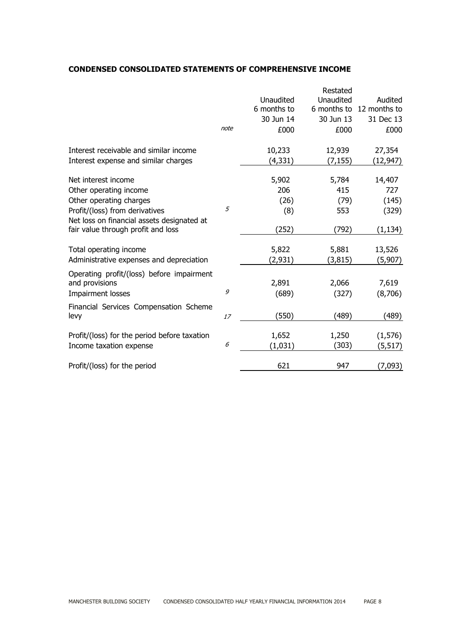#### **CONDENSED CONSOLIDATED STATEMENTS OF COMPREHENSIVE INCOME**

|                                              |      |             | Restated  |                          |
|----------------------------------------------|------|-------------|-----------|--------------------------|
|                                              |      | Unaudited   | Unaudited | Audited                  |
|                                              |      | 6 months to |           | 6 months to 12 months to |
|                                              |      | 30 Jun 14   | 30 Jun 13 | 31 Dec 13                |
|                                              | note | £000        | £000      | £000                     |
| Interest receivable and similar income       |      | 10,233      | 12,939    | 27,354                   |
| Interest expense and similar charges         |      | (4, 331)    | (7, 155)  | (12,947)                 |
| Net interest income                          |      | 5,902       | 5,784     | 14,407                   |
| Other operating income                       |      | 206         | 415       | 727                      |
| Other operating charges                      |      | (26)        | (79)      | (145)                    |
| Profit/(loss) from derivatives               | 5    | (8)         | 553       | (329)                    |
| Net loss on financial assets designated at   |      |             |           |                          |
| fair value through profit and loss           |      | (252)       | (792)     | (1, 134)                 |
| Total operating income                       |      | 5,822       | 5,881     | 13,526                   |
| Administrative expenses and depreciation     |      | (2,931)     | (3, 815)  | (5,907)                  |
| Operating profit/(loss) before impairment    |      |             |           |                          |
| and provisions                               |      | 2,891       | 2,066     | 7,619                    |
| Impairment losses                            | 9    | (689)       | (327)     | (8,706)                  |
| Financial Services Compensation Scheme       |      |             |           |                          |
| levy                                         | 17   | (550)       | (489)     | (489)                    |
| Profit/(loss) for the period before taxation |      | 1,652       | 1,250     | (1, 576)                 |
| Income taxation expense                      | 6    | (1,031)     | (303)     | (5, 517)                 |
| Profit/(loss) for the period                 |      | 621         | 947       | (7,093)                  |
|                                              |      |             |           |                          |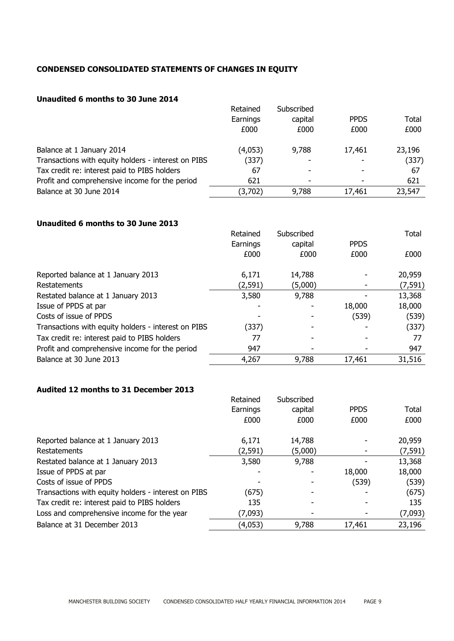# **CONDENSED CONSOLIDATED STATEMENTS OF CHANGES IN EQUITY**

# **Unaudited 6 months to 30 June 2014**

|                                                     | Retained | Subscribed |             |        |
|-----------------------------------------------------|----------|------------|-------------|--------|
|                                                     | Earnings | capital    | <b>PPDS</b> | Total  |
|                                                     | £000     | £000       | £000        | £000   |
| Balance at 1 January 2014                           | (4,053)  | 9,788      | 17,461      | 23,196 |
| Transactions with equity holders - interest on PIBS | (337)    | -          |             | (337)  |
| Tax credit re: interest paid to PIBS holders        | 67       |            |             | 67     |
| Profit and comprehensive income for the period      | 621      | ۰          |             | 621    |
| Balance at 30 June 2014                             | (3,702)  | 9,788      | 17,461      | 23,547 |

## **Unaudited 6 months to 30 June 2013**

|                                                     | Retained | Subscribed |             | Total    |
|-----------------------------------------------------|----------|------------|-------------|----------|
|                                                     | Earnings | capital    | <b>PPDS</b> |          |
|                                                     | £000     | £000       | £000        | £000     |
| Reported balance at 1 January 2013                  | 6,171    | 14,788     |             | 20,959   |
| Restatements                                        | (2, 591) | (5,000)    |             | (7, 591) |
| Restated balance at 1 January 2013                  | 3,580    | 9,788      |             | 13,368   |
| Issue of PPDS at par                                |          |            | 18,000      | 18,000   |
| Costs of issue of PPDS                              |          |            | (539)       | (539)    |
| Transactions with equity holders - interest on PIBS | (337)    |            |             | (337)    |
| Tax credit re: interest paid to PIBS holders        | 77       |            |             | 77       |
| Profit and comprehensive income for the period      | 947      |            |             | 947      |
| Balance at 30 June 2013                             | 4,267    | 9,788      | 17,461      | 31,516   |

# **Audited 12 months to 31 December 2013**

|                                                     | Retained | Subscribed |             |          |
|-----------------------------------------------------|----------|------------|-------------|----------|
|                                                     | Earnings | capital    | <b>PPDS</b> | Total    |
|                                                     | £000     | £000       | £000        | £000     |
| Reported balance at 1 January 2013                  | 6,171    | 14,788     |             | 20,959   |
| Restatements                                        | (2,591)  | (5,000)    |             | (7, 591) |
| Restated balance at 1 January 2013                  | 3,580    | 9,788      |             | 13,368   |
| Issue of PPDS at par                                |          |            | 18,000      | 18,000   |
| Costs of issue of PPDS                              |          |            | (539)       | (539)    |
| Transactions with equity holders - interest on PIBS | (675)    |            |             | (675)    |
| Tax credit re: interest paid to PIBS holders        | 135      |            |             | 135      |
| Loss and comprehensive income for the year          | (7,093)  |            |             | (7,093)  |
| Balance at 31 December 2013                         | (4,053)  | 9,788      | 17,461      | 23,196   |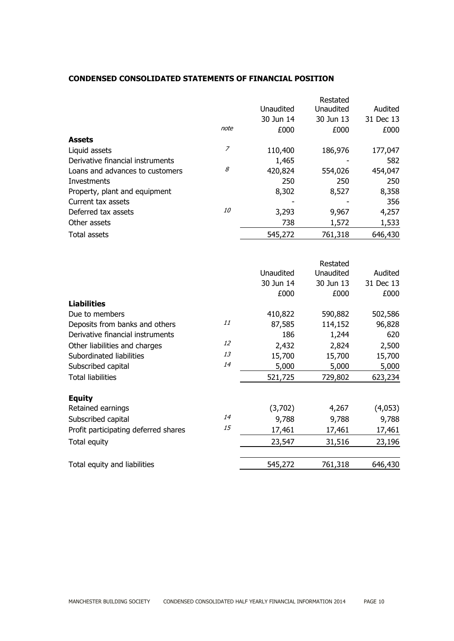## **CONDENSED CONSOLIDATED STATEMENTS OF FINANCIAL POSITION**

|                                  |           |           | Restated  |           |
|----------------------------------|-----------|-----------|-----------|-----------|
|                                  |           | Unaudited | Unaudited | Audited   |
|                                  |           | 30 Jun 14 | 30 Jun 13 | 31 Dec 13 |
|                                  | note      | £000      | £000      | £000      |
| <b>Assets</b>                    |           |           |           |           |
| Liquid assets                    | 7         | 110,400   | 186,976   | 177,047   |
| Derivative financial instruments |           | 1,465     |           | 582       |
| Loans and advances to customers  | 8         | 420,824   | 554,026   | 454,047   |
| Investments                      |           | 250       | 250       | 250       |
| Property, plant and equipment    |           | 8,302     | 8,527     | 8,358     |
| Current tax assets               |           |           |           | 356       |
| Deferred tax assets              | <i>10</i> | 3,293     | 9,967     | 4,257     |
| Other assets                     |           | 738       | 1,572     | 1,533     |
| Total assets                     |           | 545,272   | 761,318   | 646,430   |

|                                      |                  | Restated         |           |
|--------------------------------------|------------------|------------------|-----------|
|                                      | <b>Unaudited</b> | <b>Unaudited</b> | Audited   |
|                                      | 30 Jun 14        | 30 Jun 13        | 31 Dec 13 |
|                                      | £000             | £000             | £000      |
| <b>Liabilities</b>                   |                  |                  |           |
| Due to members                       | 410,822          | 590,882          | 502,586   |
| Deposits from banks and others       | 11<br>87,585     | 114,152          | 96,828    |
| Derivative financial instruments     | 186              | 1,244            | 620       |
| Other liabilities and charges        | 12<br>2,432      | 2,824            | 2,500     |
| Subordinated liabilities             | 13<br>15,700     | 15,700           | 15,700    |
| Subscribed capital                   | 14<br>5,000      | 5,000            | 5,000     |
| <b>Total liabilities</b>             | 521,725          | 729,802          | 623,234   |
| <b>Equity</b>                        |                  |                  |           |
| Retained earnings                    | (3,702)          | 4,267            | (4,053)   |
| Subscribed capital                   | 14<br>9,788      | 9,788            | 9,788     |
| Profit participating deferred shares | 15<br>17,461     | 17,461           | 17,461    |
| Total equity                         | 23,547           | 31,516           | 23,196    |
| Total equity and liabilities         | 545,272          | 761,318          | 646,430   |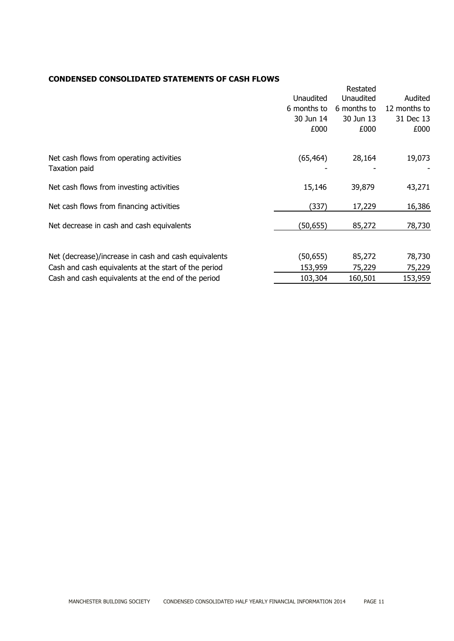## **CONDENSED CONSOLIDATED STATEMENTS OF CASH FLOWS**

|                                                           |             | Restated    |              |
|-----------------------------------------------------------|-------------|-------------|--------------|
|                                                           | Unaudited   | Unaudited   | Audited      |
|                                                           | 6 months to | 6 months to | 12 months to |
|                                                           | 30 Jun 14   | 30 Jun 13   | 31 Dec 13    |
|                                                           | £000        | £000        | £000         |
| Net cash flows from operating activities<br>Taxation paid | (65, 464)   | 28,164      | 19,073       |
| Net cash flows from investing activities                  | 15,146      | 39,879      | 43,271       |
| Net cash flows from financing activities                  | (337)       | 17,229      | 16,386       |
| Net decrease in cash and cash equivalents                 | (50,655)    | 85,272      | 78,730       |
| Net (decrease)/increase in cash and cash equivalents      | (50, 655)   | 85,272      | 78,730       |
| Cash and cash equivalents at the start of the period      | 153,959     | 75,229      | 75,229       |
| Cash and cash equivalents at the end of the period        | 103,304     | 160,501     | 153,959      |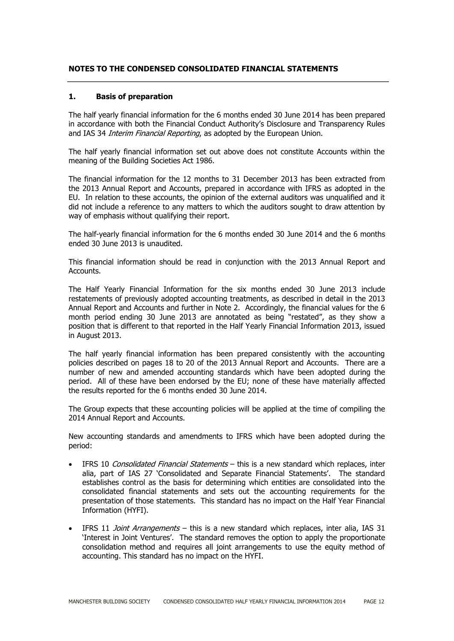#### **NOTES TO THE CONDENSED CONSOLIDATED FINANCIAL STATEMENTS**

#### **1. Basis of preparation**

The half yearly financial information for the 6 months ended 30 June 2014 has been prepared in accordance with both the Financial Conduct Authority's Disclosure and Transparency Rules and IAS 34 *Interim Financial Reporting*, as adopted by the European Union.

The half yearly financial information set out above does not constitute Accounts within the meaning of the Building Societies Act 1986.

The financial information for the 12 months to 31 December 2013 has been extracted from the 2013 Annual Report and Accounts, prepared in accordance with IFRS as adopted in the EU. In relation to these accounts, the opinion of the external auditors was unqualified and it did not include a reference to any matters to which the auditors sought to draw attention by way of emphasis without qualifying their report.

The half-yearly financial information for the 6 months ended 30 June 2014 and the 6 months ended 30 June 2013 is unaudited.

This financial information should be read in conjunction with the 2013 Annual Report and Accounts.

The Half Yearly Financial Information for the six months ended 30 June 2013 include restatements of previously adopted accounting treatments, as described in detail in the 2013 Annual Report and Accounts and further in Note 2. Accordingly, the financial values for the 6 month period ending 30 June 2013 are annotated as being "restated", as they show a position that is different to that reported in the Half Yearly Financial Information 2013, issued in August 2013.

The half yearly financial information has been prepared consistently with the accounting policies described on pages 18 to 20 of the 2013 Annual Report and Accounts. There are a number of new and amended accounting standards which have been adopted during the period. All of these have been endorsed by the EU; none of these have materially affected the results reported for the 6 months ended 30 June 2014.

The Group expects that these accounting policies will be applied at the time of compiling the 2014 Annual Report and Accounts.

New accounting standards and amendments to IFRS which have been adopted during the period:

- IFRS 10 Consolidated Financial Statements this is a new standard which replaces, inter alia, part of IAS 27 'Consolidated and Separate Financial Statements'. The standard establishes control as the basis for determining which entities are consolidated into the consolidated financial statements and sets out the accounting requirements for the presentation of those statements. This standard has no impact on the Half Year Financial Information (HYFI).
- IFRS 11 *Joint Arrangements* this is a new standard which replaces, inter alia, IAS 31 'Interest in Joint Ventures'. The standard removes the option to apply the proportionate consolidation method and requires all joint arrangements to use the equity method of accounting. This standard has no impact on the HYFI.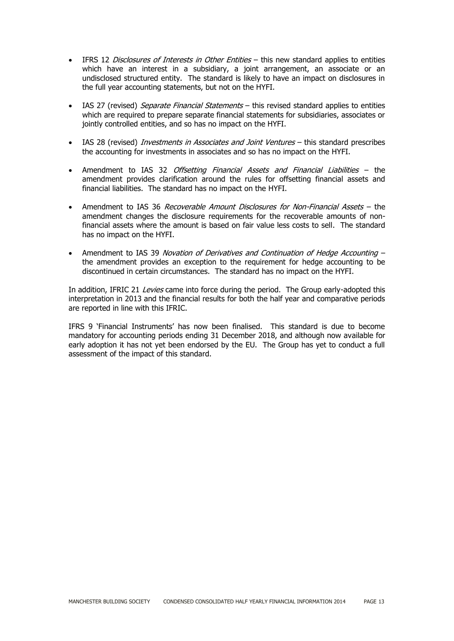- IFRS 12 *Disclosures of Interests in Other Entities* this new standard applies to entities which have an interest in a subsidiary, a joint arrangement, an associate or an undisclosed structured entity. The standard is likely to have an impact on disclosures in the full year accounting statements, but not on the HYFI.
- IAS 27 (revised) Separate Financial Statements this revised standard applies to entities which are required to prepare separate financial statements for subsidiaries, associates or jointly controlled entities, and so has no impact on the HYFI.
- IAS 28 (revised) Investments in Associates and Joint Ventures this standard prescribes the accounting for investments in associates and so has no impact on the HYFI.
- Amendment to IAS 32 Offsetting Financial Assets and Financial Liabilities the amendment provides clarification around the rules for offsetting financial assets and financial liabilities. The standard has no impact on the HYFI.
- Amendment to IAS 36 Recoverable Amount Disclosures for Non-Financial Assets the amendment changes the disclosure requirements for the recoverable amounts of nonfinancial assets where the amount is based on fair value less costs to sell. The standard has no impact on the HYFI.
- Amendment to IAS 39 Novation of Derivatives and Continuation of Hedge Accounting the amendment provides an exception to the requirement for hedge accounting to be discontinued in certain circumstances. The standard has no impact on the HYFI.

In addition, IFRIC 21 Levies came into force during the period. The Group early-adopted this interpretation in 2013 and the financial results for both the half year and comparative periods are reported in line with this IFRIC.

IFRS 9 'Financial Instruments' has now been finalised. This standard is due to become mandatory for accounting periods ending 31 December 2018, and although now available for early adoption it has not yet been endorsed by the EU. The Group has yet to conduct a full assessment of the impact of this standard.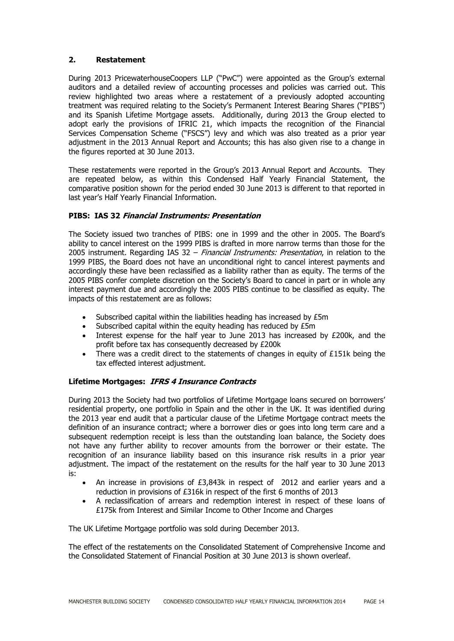## **2. Restatement**

During 2013 PricewaterhouseCoopers LLP ("PwC") were appointed as the Group's external auditors and a detailed review of accounting processes and policies was carried out. This review highlighted two areas where a restatement of a previously adopted accounting treatment was required relating to the Society's Permanent Interest Bearing Shares ("PIBS") and its Spanish Lifetime Mortgage assets. Additionally, during 2013 the Group elected to adopt early the provisions of IFRIC 21, which impacts the recognition of the Financial Services Compensation Scheme ("FSCS") levy and which was also treated as a prior year adjustment in the 2013 Annual Report and Accounts; this has also given rise to a change in the figures reported at 30 June 2013.

These restatements were reported in the Group's 2013 Annual Report and Accounts. They are repeated below, as within this Condensed Half Yearly Financial Statement, the comparative position shown for the period ended 30 June 2013 is different to that reported in last year's Half Yearly Financial Information.

## **PIBS: IAS 32 Financial Instruments: Presentation**

The Society issued two tranches of PIBS: one in 1999 and the other in 2005. The Board's ability to cancel interest on the 1999 PIBS is drafted in more narrow terms than those for the 2005 instrument. Regarding IAS  $32$  – *Financial Instruments: Presentation*, in relation to the 1999 PIBS, the Board does not have an unconditional right to cancel interest payments and accordingly these have been reclassified as a liability rather than as equity. The terms of the 2005 PIBS confer complete discretion on the Society's Board to cancel in part or in whole any interest payment due and accordingly the 2005 PIBS continue to be classified as equity. The impacts of this restatement are as follows:

- Subscribed capital within the liabilities heading has increased by £5m
- Subscribed capital within the equity heading has reduced by £5m
- Interest expense for the half year to June 2013 has increased by £200k, and the profit before tax has consequently decreased by £200k
- There was a credit direct to the statements of changes in equity of £151k being the tax effected interest adjustment.

#### **Lifetime Mortgages: IFRS 4 Insurance Contracts**

During 2013 the Society had two portfolios of Lifetime Mortgage loans secured on borrowers' residential property, one portfolio in Spain and the other in the UK. It was identified during the 2013 year end audit that a particular clause of the Lifetime Mortgage contract meets the definition of an insurance contract; where a borrower dies or goes into long term care and a subsequent redemption receipt is less than the outstanding loan balance, the Society does not have any further ability to recover amounts from the borrower or their estate. The recognition of an insurance liability based on this insurance risk results in a prior year adjustment. The impact of the restatement on the results for the half year to 30 June 2013 is:

- An increase in provisions of £3,843k in respect of 2012 and earlier years and a reduction in provisions of £316k in respect of the first 6 months of 2013
- A reclassification of arrears and redemption interest in respect of these loans of £175k from Interest and Similar Income to Other Income and Charges

The UK Lifetime Mortgage portfolio was sold during December 2013.

The effect of the restatements on the Consolidated Statement of Comprehensive Income and the Consolidated Statement of Financial Position at 30 June 2013 is shown overleaf.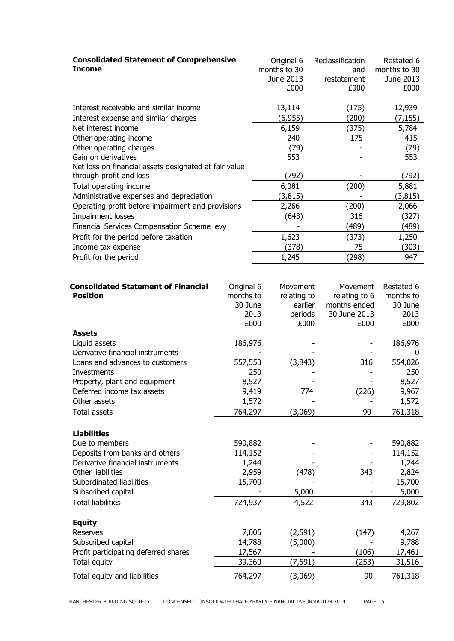| <b>Income</b>                                                      | <b>Consolidated Statement of Comprehensive</b> |  | Original 6<br>months to 30<br>June 2013<br>£000 | Reclassification<br>and<br>restatement<br>£000 | Restated 6<br>months to 30<br>June 2013<br>£000 |
|--------------------------------------------------------------------|------------------------------------------------|--|-------------------------------------------------|------------------------------------------------|-------------------------------------------------|
| Interest receivable and similar income                             |                                                |  | 13,114                                          | (175)                                          | 12,939                                          |
| Interest expense and similar charges                               |                                                |  | (6, 955)                                        | (200)                                          | (7, 155)                                        |
| Net interest income                                                |                                                |  | 6,159                                           | (375)                                          | 5,784                                           |
| Other operating income                                             |                                                |  | 240                                             | 175                                            | 415                                             |
| Other operating charges                                            |                                                |  | (79)                                            |                                                | (79)                                            |
| Gain on derivatives                                                |                                                |  | 553                                             |                                                | 553                                             |
| Net loss on financial assets designated at fair value              |                                                |  |                                                 |                                                |                                                 |
| through profit and loss                                            |                                                |  | (792)<br>6,081                                  |                                                | (792)                                           |
| Total operating income<br>Administrative expenses and depreciation |                                                |  | (3, 815)                                        | (200)                                          | 5,881<br>(3, 815)                               |
| Operating profit before impairment and provisions                  |                                                |  | 2,266                                           | (200)                                          | 2,066                                           |
| Impairment losses                                                  |                                                |  | (643)                                           | 316                                            | (327)                                           |
| Financial Services Compensation Scheme levy                        |                                                |  |                                                 | (489)                                          | (489)                                           |
| Profit for the period before taxation                              |                                                |  | 1,623                                           | (373)                                          | 1,250                                           |
| Income tax expense                                                 |                                                |  | (378)                                           | 75                                             | (303)                                           |
| Profit for the period                                              |                                                |  | 1,245                                           | (298)                                          | 947                                             |
|                                                                    |                                                |  |                                                 |                                                |                                                 |
| <b>Consolidated Statement of Financial</b>                         | Original 6                                     |  | Movement                                        | Movement                                       | Restated 6                                      |
| <b>Position</b>                                                    | months to                                      |  | relating to                                     | relating to 6                                  | months to                                       |
|                                                                    | 30 June                                        |  | earlier                                         | months ended                                   | 30 June                                         |
|                                                                    | 2013                                           |  | periods                                         | 30 June 2013                                   | 2013                                            |
|                                                                    | £000                                           |  | £000                                            | £000                                           | £000                                            |
| <b>Assets</b>                                                      |                                                |  |                                                 |                                                |                                                 |
| Liquid assets                                                      | 186,976                                        |  |                                                 |                                                | 186,976                                         |
| Derivative financial instruments                                   |                                                |  |                                                 |                                                | 0                                               |
| Loans and advances to customers                                    | 557,553<br>250                                 |  | (3,843)                                         | 316                                            | 554,026<br>250                                  |
| Investments<br>Property, plant and equipment                       | 8,527                                          |  |                                                 |                                                | 8,527                                           |
| Deferred income tax assets                                         | 9,419                                          |  | 774                                             | (226)                                          | 9,967                                           |
| Other assets                                                       | 1,572                                          |  |                                                 |                                                | 1,572                                           |
| <b>Total assets</b>                                                | 764,297                                        |  | (3,069)                                         | 90                                             | 761,318                                         |
|                                                                    |                                                |  |                                                 |                                                |                                                 |
| <b>Liabilities</b>                                                 |                                                |  |                                                 |                                                |                                                 |
| Due to members                                                     | 590,882                                        |  |                                                 |                                                | 590,882                                         |
| Deposits from banks and others                                     | 114,152                                        |  |                                                 |                                                | 114,152                                         |
| Derivative financial instruments                                   | 1,244                                          |  |                                                 |                                                | 1,244                                           |
| Other liabilities                                                  | 2,959                                          |  | (478)                                           | 343                                            | 2,824                                           |
| Subordinated liabilities                                           | 15,700                                         |  |                                                 |                                                | 15,700                                          |
| Subscribed capital                                                 |                                                |  | 5,000                                           |                                                | 5,000                                           |
| <b>Total liabilities</b>                                           | 724,937                                        |  | 4,522                                           | 343                                            | 729,802                                         |
| <b>Equity</b>                                                      |                                                |  |                                                 |                                                |                                                 |
| Reserves                                                           | 7,005                                          |  | (2, 591)                                        | (147)                                          | 4,267                                           |
| Subscribed capital                                                 | 14,788                                         |  | (5,000)                                         |                                                | 9,788                                           |
| Profit participating deferred shares                               | 17,567                                         |  |                                                 | (106)                                          | 17,461                                          |
| Total equity                                                       | 39,360                                         |  | (7, 591)                                        | (253)                                          | 31,516                                          |
| Total equity and liabilities                                       | 764,297                                        |  | (3,069)                                         | 90                                             | 761,318                                         |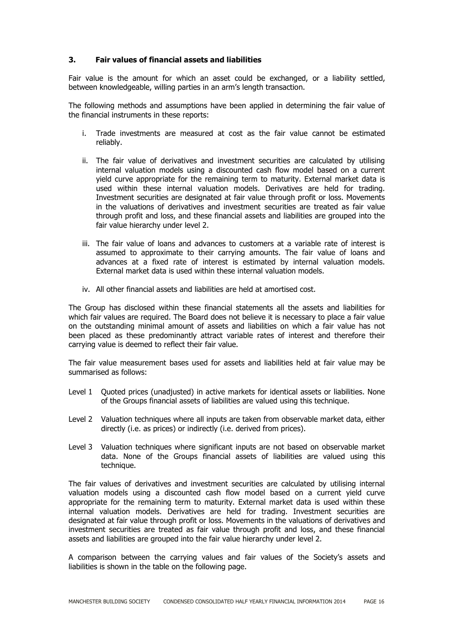#### **3. Fair values of financial assets and liabilities**

Fair value is the amount for which an asset could be exchanged, or a liability settled, between knowledgeable, willing parties in an arm's length transaction.

The following methods and assumptions have been applied in determining the fair value of the financial instruments in these reports:

- i. Trade investments are measured at cost as the fair value cannot be estimated reliably.
- ii. The fair value of derivatives and investment securities are calculated by utilising internal valuation models using a discounted cash flow model based on a current yield curve appropriate for the remaining term to maturity. External market data is used within these internal valuation models. Derivatives are held for trading. Investment securities are designated at fair value through profit or loss. Movements in the valuations of derivatives and investment securities are treated as fair value through profit and loss, and these financial assets and liabilities are grouped into the fair value hierarchy under level 2.
- iii. The fair value of loans and advances to customers at a variable rate of interest is assumed to approximate to their carrying amounts. The fair value of loans and advances at a fixed rate of interest is estimated by internal valuation models. External market data is used within these internal valuation models.
- iv. All other financial assets and liabilities are held at amortised cost.

The Group has disclosed within these financial statements all the assets and liabilities for which fair values are required. The Board does not believe it is necessary to place a fair value on the outstanding minimal amount of assets and liabilities on which a fair value has not been placed as these predominantly attract variable rates of interest and therefore their carrying value is deemed to reflect their fair value.

The fair value measurement bases used for assets and liabilities held at fair value may be summarised as follows:

- Level 1 Quoted prices (unadjusted) in active markets for identical assets or liabilities. None of the Groups financial assets of liabilities are valued using this technique.
- Level 2 Valuation techniques where all inputs are taken from observable market data, either directly (i.e. as prices) or indirectly (i.e. derived from prices).
- Level 3 Valuation techniques where significant inputs are not based on observable market data. None of the Groups financial assets of liabilities are valued using this technique.

The fair values of derivatives and investment securities are calculated by utilising internal valuation models using a discounted cash flow model based on a current yield curve appropriate for the remaining term to maturity. External market data is used within these internal valuation models. Derivatives are held for trading. Investment securities are designated at fair value through profit or loss. Movements in the valuations of derivatives and investment securities are treated as fair value through profit and loss, and these financial assets and liabilities are grouped into the fair value hierarchy under level 2.

A comparison between the carrying values and fair values of the Society's assets and liabilities is shown in the table on the following page.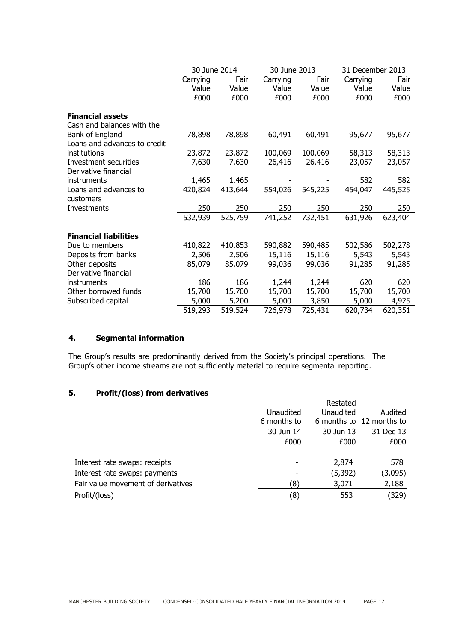|                              | 30 June 2014 |         |          | 30 June 2013 |          | 31 December 2013 |  |
|------------------------------|--------------|---------|----------|--------------|----------|------------------|--|
|                              | Carrying     | Fair    | Carrying | Fair         | Carrying | Fair             |  |
|                              | Value        | Value   | Value    | Value        | Value    | Value            |  |
|                              | £000         | £000    | £000     | £000         | £000     | £000             |  |
| <b>Financial assets</b>      |              |         |          |              |          |                  |  |
| Cash and balances with the   |              |         |          |              |          |                  |  |
| Bank of England              | 78,898       | 78,898  | 60,491   | 60,491       | 95,677   | 95,677           |  |
| Loans and advances to credit |              |         |          |              |          |                  |  |
| institutions                 | 23,872       | 23,872  | 100,069  | 100,069      | 58,313   | 58,313           |  |
| Investment securities        | 7,630        | 7,630   | 26,416   | 26,416       | 23,057   | 23,057           |  |
| Derivative financial         |              |         |          |              |          |                  |  |
| instruments                  | 1,465        | 1,465   |          |              | 582      | 582              |  |
| Loans and advances to        | 420,824      | 413,644 | 554,026  | 545,225      | 454,047  | 445,525          |  |
| customers                    |              |         |          |              |          |                  |  |
| Investments                  | 250          | 250     | 250      | 250          | 250      | 250              |  |
|                              | 532,939      | 525,759 | 741,252  | 732,451      | 631,926  | 623,404          |  |
|                              |              |         |          |              |          |                  |  |
| <b>Financial liabilities</b> |              |         |          |              |          |                  |  |
| Due to members               | 410,822      | 410,853 | 590,882  | 590,485      | 502,586  | 502,278          |  |
| Deposits from banks          | 2,506        | 2,506   | 15,116   | 15,116       | 5,543    | 5,543            |  |
| Other deposits               | 85,079       | 85,079  | 99,036   | 99,036       | 91,285   | 91,285           |  |
| Derivative financial         |              |         |          |              |          |                  |  |
| instruments                  | 186          | 186     | 1,244    | 1,244        | 620      | 620              |  |
| Other borrowed funds         | 15,700       | 15,700  | 15,700   | 15,700       | 15,700   | 15,700           |  |
| Subscribed capital           | 5,000        | 5,200   | 5,000    | 3,850        | 5,000    | 4,925            |  |
|                              | 519,293      | 519,524 | 726,978  | 725,431      | 620,734  | 620,351          |  |

# **4. Segmental information**

The Group's results are predominantly derived from the Society's principal operations. The Group's other income streams are not sufficiently material to require segmental reporting.

## **5. Profit/(loss) from derivatives**

|                                    |             | Restated  |                          |
|------------------------------------|-------------|-----------|--------------------------|
|                                    | Unaudited   | Unaudited | Audited                  |
|                                    | 6 months to |           | 6 months to 12 months to |
|                                    | 30 Jun 14   | 30 Jun 13 | 31 Dec 13                |
|                                    | £000        | £000      | £000                     |
| Interest rate swaps: receipts      |             | 2,874     | 578                      |
| Interest rate swaps: payments      |             | (5, 392)  | (3,095)                  |
| Fair value movement of derivatives | ้8)         | 3,071     | 2,188                    |
| Profit/(loss)                      | '8)         | 553       | (329)                    |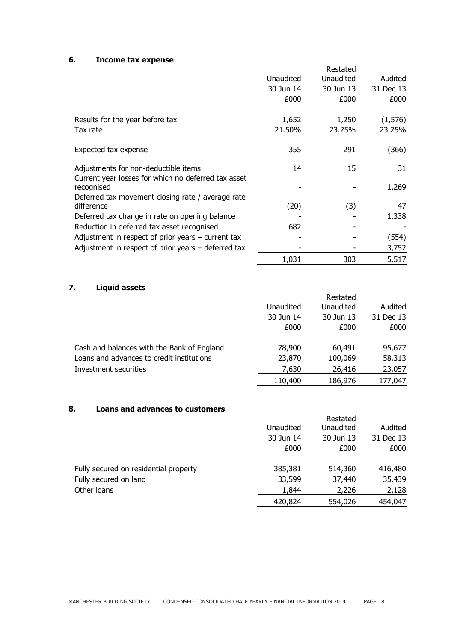## **6. Income tax expense**

|                                                                   |           | Restated  |           |
|-------------------------------------------------------------------|-----------|-----------|-----------|
|                                                                   | Unaudited | Unaudited | Audited   |
|                                                                   | 30 Jun 14 | 30 Jun 13 | 31 Dec 13 |
|                                                                   | £000      | £000      | £000      |
| Results for the year before tax                                   | 1,652     | 1,250     | (1,576)   |
| Tax rate                                                          | 21.50%    | 23.25%    | 23.25%    |
| Expected tax expense                                              | 355       | 291       | (366)     |
| Adjustments for non-deductible items                              | 14        | 15        | 31        |
| Current year losses for which no deferred tax asset<br>recognised |           |           | 1,269     |
| Deferred tax movement closing rate / average rate                 |           |           |           |
| difference                                                        | (20)      | (3)       | 47        |
| Deferred tax change in rate on opening balance                    |           |           | 1,338     |
| Reduction in deferred tax asset recognised                        | 682       |           |           |
| Adjustment in respect of prior years $-$ current tax              |           |           | (554)     |
| Adjustment in respect of prior years $-$ deferred tax             |           |           | 3,752     |
|                                                                   | 1,031     | 303       | 5,517     |

# **7. Liquid assets**

| --------------                             |           |           |           |
|--------------------------------------------|-----------|-----------|-----------|
|                                            |           | Restated  |           |
|                                            | Unaudited | Unaudited | Audited   |
|                                            | 30 Jun 14 | 30 Jun 13 | 31 Dec 13 |
|                                            | £000      | £000      | £000      |
| Cash and balances with the Bank of England | 78,900    | 60,491    | 95,677    |
| Loans and advances to credit institutions  | 23,870    | 100,069   | 58,313    |
| Investment securities                      | 7,630     | 26,416    | 23,057    |
|                                            | 110,400   | 186,976   | 177,047   |

## **8. Loans and advances to customers**

|                                       | Unaudited | Restated<br>Unaudited | Audited   |
|---------------------------------------|-----------|-----------------------|-----------|
|                                       | 30 Jun 14 | 30 Jun 13             | 31 Dec 13 |
|                                       | £000      | £000                  | £000      |
| Fully secured on residential property | 385,381   | 514,360               | 416,480   |
| Fully secured on land                 | 33,599    | 37,440                | 35,439    |
| Other loans                           | 1,844     | 2,226                 | 2,128     |
|                                       | 420,824   | 554,026               | 454,047   |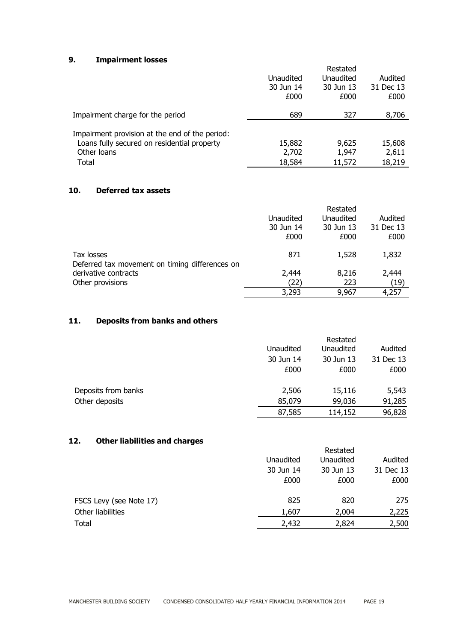## **9. Impairment losses**

|                                                                                                              | Unaudited<br>30 Jun 14<br>£000 | Restated<br>Unaudited<br>30 Jun 13<br>£000 | Audited<br>31 Dec 13<br>£000 |
|--------------------------------------------------------------------------------------------------------------|--------------------------------|--------------------------------------------|------------------------------|
| Impairment charge for the period                                                                             | 689                            | 327                                        | 8,706                        |
| Impairment provision at the end of the period:<br>Loans fully secured on residential property<br>Other loans | 15,882<br>2,702                | 9,625<br>1,947                             | 15,608<br>2,611              |
| Total                                                                                                        | 18,584                         | 11,572                                     | 18,219                       |

## **10. Deferred tax assets**

|                                                              |           | Restated  |           |
|--------------------------------------------------------------|-----------|-----------|-----------|
|                                                              | Unaudited | Unaudited | Audited   |
|                                                              | 30 Jun 14 | 30 Jun 13 | 31 Dec 13 |
|                                                              | £000      | £000      | £000      |
| Tax losses<br>Deferred tax movement on timing differences on | 871       | 1,528     | 1,832     |
| derivative contracts                                         | 2,444     | 8,216     | 2,444     |
| Other provisions                                             | (22)      | 223       | (19)      |
|                                                              | 3,293     | 9,967     | 4,257     |

# **11. Deposits from banks and others**

|                     |           | Restated  |           |
|---------------------|-----------|-----------|-----------|
|                     | Unaudited | Unaudited | Audited   |
|                     | 30 Jun 14 | 30 Jun 13 | 31 Dec 13 |
|                     | £000      | £000      | £000      |
| Deposits from banks | 2,506     | 15,116    | 5,543     |
| Other deposits      | 85,079    | 99,036    | 91,285    |
|                     | 87,585    | 114,152   | 96,828    |

# **12. Other liabilities and charges**

| .<br><u>stillinusiiltissä killä sillinessa</u> |           |           |           |
|------------------------------------------------|-----------|-----------|-----------|
|                                                |           | Restated  |           |
|                                                | Unaudited | Unaudited | Audited   |
|                                                | 30 Jun 14 | 30 Jun 13 | 31 Dec 13 |
|                                                | £000      | £000      | £000      |
| FSCS Levy (see Note 17)                        | 825       | 820       | 275       |
| Other liabilities                              | 1,607     | 2,004     | 2,225     |
| Total                                          | 2,432     | 2,824     | 2,500     |
|                                                |           |           |           |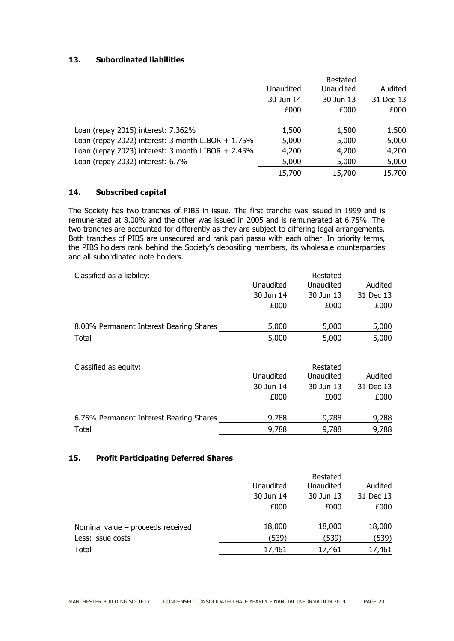## **13. Subordinated liabilities**

|                                                      |           | Restated  |           |
|------------------------------------------------------|-----------|-----------|-----------|
|                                                      | Unaudited | Unaudited | Audited   |
|                                                      | 30 Jun 14 | 30 Jun 13 | 31 Dec 13 |
|                                                      | £000      | £000      | £000      |
| Loan (repay 2015) interest: 7.362%                   | 1,500     | 1,500     | 1,500     |
| Loan (repay 2022) interest: $3$ month LIBOR + 1.75%  | 5,000     | 5,000     | 5,000     |
| Loan (repay 2023) interest: 3 month LIBOR $+ 2.45\%$ | 4,200     | 4,200     | 4,200     |
| Loan (repay 2032) interest: 6.7%                     | 5,000     | 5,000     | 5,000     |
|                                                      | 15,700    | 15,700    | 15,700    |

#### **14. Subscribed capital**

The Society has two tranches of PIBS in issue. The first tranche was issued in 1999 and is remunerated at 8.00% and the other was issued in 2005 and is remunerated at 6.75%. The two tranches are accounted for differently as they are subject to differing legal arrangements. Both tranches of PIBS are unsecured and rank pari passu with each other. In priority terms, the PIBS holders rank behind the Society's depositing members, its wholesale counterparties and all subordinated note holders.

| Classified as a liability:              | Unaudited<br>30 Jun 14<br>£000 | Restated<br>Unaudited<br>30 Jun 13<br>£000 | Audited<br>31 Dec 13<br>£000 |
|-----------------------------------------|--------------------------------|--------------------------------------------|------------------------------|
| 8.00% Permanent Interest Bearing Shares | 5,000                          | 5,000                                      | 5,000                        |
| Total                                   | 5,000                          | 5,000                                      | 5,000                        |
| Classified as equity:                   | Unaudited<br>30 Jun 14<br>£000 | Restated<br>Unaudited<br>30 Jun 13<br>£000 | Audited<br>31 Dec 13<br>£000 |
| 6.75% Permanent Interest Bearing Shares | 9,788                          | 9,788                                      | 9,788                        |

Total 9,788 9,788 9,788

#### **15. Profit Participating Deferred Shares**

|                                     | Unaudited<br>30 Jun 14<br>£000 | Restated<br>Unaudited<br>30 Jun 13<br>£000 | Audited<br>31 Dec 13<br>£000 |
|-------------------------------------|--------------------------------|--------------------------------------------|------------------------------|
| Nominal value $-$ proceeds received | 18,000                         | 18,000                                     | 18,000                       |
| Less: issue costs                   | (539)                          | (539)                                      | (539)                        |
| Total                               | 17,461                         | 17,461                                     | 17,461                       |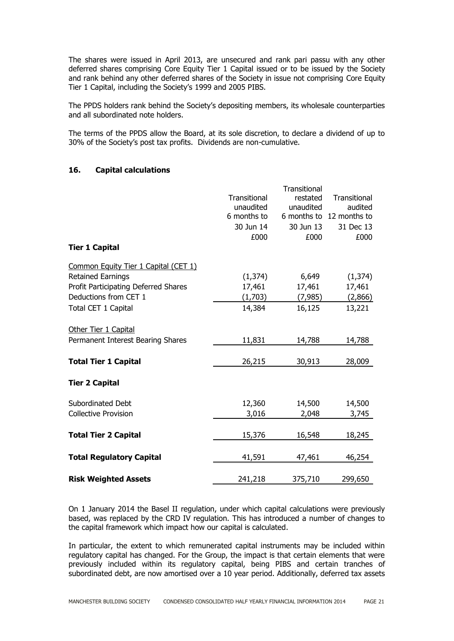The shares were issued in April 2013, are unsecured and rank pari passu with any other deferred shares comprising Core Equity Tier 1 Capital issued or to be issued by the Society and rank behind any other deferred shares of the Society in issue not comprising Core Equity Tier 1 Capital, including the Society's 1999 and 2005 PIBS.

The PPDS holders rank behind the Society's depositing members, its wholesale counterparties and all subordinated note holders.

The terms of the PPDS allow the Board, at its sole discretion, to declare a dividend of up to 30% of the Society's post tax profits. Dividends are non-cumulative.

#### **16. Capital calculations**

|                                      |              | <b>Transitional</b> |                          |
|--------------------------------------|--------------|---------------------|--------------------------|
|                                      | Transitional | restated            | Transitional             |
|                                      | unaudited    | unaudited           | audited                  |
|                                      | 6 months to  |                     | 6 months to 12 months to |
|                                      | 30 Jun 14    | 30 Jun 13           | 31 Dec 13                |
|                                      | £000         | £000                | £000                     |
| <b>Tier 1 Capital</b>                |              |                     |                          |
| Common Equity Tier 1 Capital (CET 1) |              |                     |                          |
| <b>Retained Earnings</b>             | (1, 374)     | 6,649               | (1, 374)                 |
| Profit Participating Deferred Shares | 17,461       | 17,461              | 17,461                   |
| Deductions from CET 1                | (1,703)      | (7, 985)            | (2,866)                  |
| Total CET 1 Capital                  | 14,384       | 16,125              | 13,221                   |
| Other Tier 1 Capital                 |              |                     |                          |
| Permanent Interest Bearing Shares    | 11,831       | 14,788              | 14,788                   |
| <b>Total Tier 1 Capital</b>          | 26,215       | 30,913              | 28,009                   |
|                                      |              |                     |                          |
| <b>Tier 2 Capital</b>                |              |                     |                          |
| Subordinated Debt                    | 12,360       | 14,500              | 14,500                   |
| <b>Collective Provision</b>          | 3,016        | 2,048               | 3,745                    |
| <b>Total Tier 2 Capital</b>          | 15,376       | 16,548              | 18,245                   |
|                                      |              |                     |                          |
| <b>Total Regulatory Capital</b>      | 41,591       | 47,461              | 46,254                   |
| <b>Risk Weighted Assets</b>          | 241,218      | 375,710             | 299,650                  |
|                                      |              |                     |                          |

On 1 January 2014 the Basel II regulation, under which capital calculations were previously based, was replaced by the CRD IV regulation. This has introduced a number of changes to the capital framework which impact how our capital is calculated.

In particular, the extent to which remunerated capital instruments may be included within regulatory capital has changed. For the Group, the impact is that certain elements that were previously included within its regulatory capital, being PIBS and certain tranches of subordinated debt, are now amortised over a 10 year period. Additionally, deferred tax assets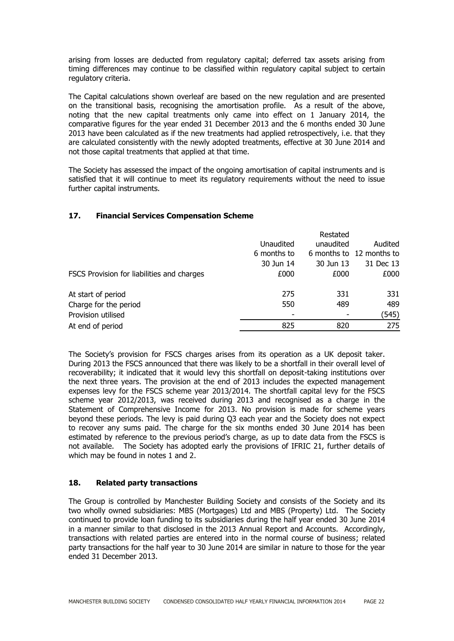arising from losses are deducted from regulatory capital; deferred tax assets arising from timing differences may continue to be classified within regulatory capital subject to certain regulatory criteria.

The Capital calculations shown overleaf are based on the new regulation and are presented on the transitional basis, recognising the amortisation profile. As a result of the above, noting that the new capital treatments only came into effect on 1 January 2014, the comparative figures for the year ended 31 December 2013 and the 6 months ended 30 June 2013 have been calculated as if the new treatments had applied retrospectively, i.e. that they are calculated consistently with the newly adopted treatments, effective at 30 June 2014 and not those capital treatments that applied at that time.

The Society has assessed the impact of the ongoing amortisation of capital instruments and is satisfied that it will continue to meet its regulatory requirements without the need to issue further capital instruments.

## **17. Financial Services Compensation Scheme**

|                                            |             | Restated  |                          |
|--------------------------------------------|-------------|-----------|--------------------------|
|                                            | Unaudited   | unaudited | Audited                  |
|                                            | 6 months to |           | 6 months to 12 months to |
|                                            | 30 Jun 14   | 30 Jun 13 | 31 Dec 13                |
| FSCS Provision for liabilities and charges | £000        | £000      | £000                     |
| At start of period                         | 275         | 331       | 331                      |
| Charge for the period                      | 550         | 489       | 489                      |
| Provision utilised                         |             |           | (545)                    |
| At end of period                           | 825         | 820       | 275                      |

The Society's provision for FSCS charges arises from its operation as a UK deposit taker. During 2013 the FSCS announced that there was likely to be a shortfall in their overall level of recoverability; it indicated that it would levy this shortfall on deposit-taking institutions over the next three years. The provision at the end of 2013 includes the expected management expenses levy for the FSCS scheme year 2013/2014. The shortfall capital levy for the FSCS scheme year 2012/2013, was received during 2013 and recognised as a charge in the Statement of Comprehensive Income for 2013. No provision is made for scheme years beyond these periods. The levy is paid during Q3 each year and the Society does not expect to recover any sums paid. The charge for the six months ended 30 June 2014 has been estimated by reference to the previous period's charge, as up to date data from the FSCS is not available. The Society has adopted early the provisions of IFRIC 21, further details of which may be found in notes 1 and 2.

#### **18. Related party transactions**

The Group is controlled by Manchester Building Society and consists of the Society and its two wholly owned subsidiaries: MBS (Mortgages) Ltd and MBS (Property) Ltd. The Society continued to provide loan funding to its subsidiaries during the half year ended 30 June 2014 in a manner similar to that disclosed in the 2013 Annual Report and Accounts. Accordingly, transactions with related parties are entered into in the normal course of business; related party transactions for the half year to 30 June 2014 are similar in nature to those for the year ended 31 December 2013.